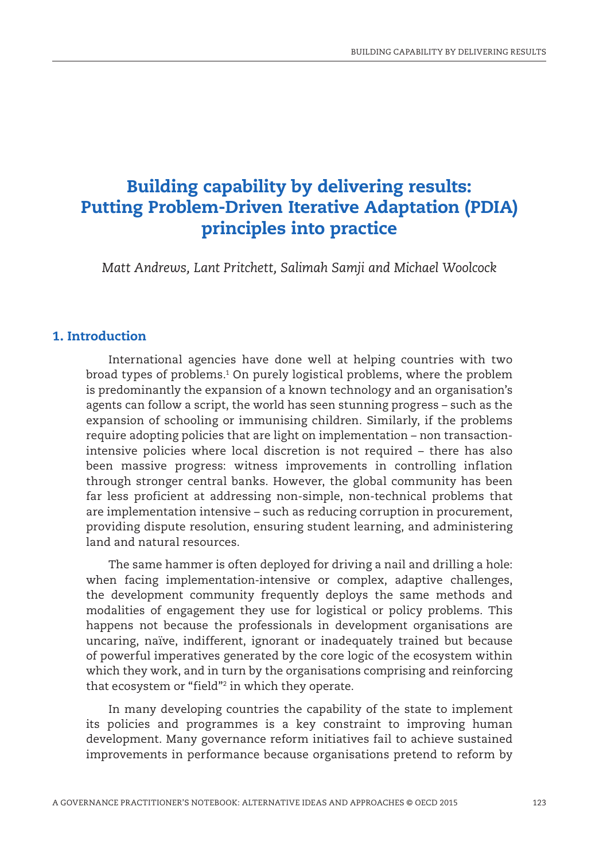# Building capability by delivering results: Putting Problem-Driven Iterative Adaptation (PDIA) principles into practice

*Matt Andrews, Lant Pritchett, Salimah Samji and Michael Woolcock*

### 1. Introduction

International agencies have done well at helping countries with two broad types of problems.1 On purely logistical problems, where the problem is predominantly the expansion of a known technology and an organisation's agents can follow a script, the world has seen stunning progress – such as the expansion of schooling or immunising children. Similarly, if the problems require adopting policies that are light on implementation – non transactionintensive policies where local discretion is not required – there has also been massive progress: witness improvements in controlling inflation through stronger central banks. However, the global community has been far less proficient at addressing non-simple, non-technical problems that are implementation intensive – such as reducing corruption in procurement, providing dispute resolution, ensuring student learning, and administering land and natural resources.

The same hammer is often deployed for driving a nail and drilling a hole: when facing implementation-intensive or complex, adaptive challenges, the development community frequently deploys the same methods and modalities of engagement they use for logistical or policy problems. This happens not because the professionals in development organisations are uncaring, naïve, indifferent, ignorant or inadequately trained but because of powerful imperatives generated by the core logic of the ecosystem within which they work, and in turn by the organisations comprising and reinforcing that ecosystem or "field"2 in which they operate.

In many developing countries the capability of the state to implement its policies and programmes is a key constraint to improving human development. Many governance reform initiatives fail to achieve sustained improvements in performance because organisations pretend to reform by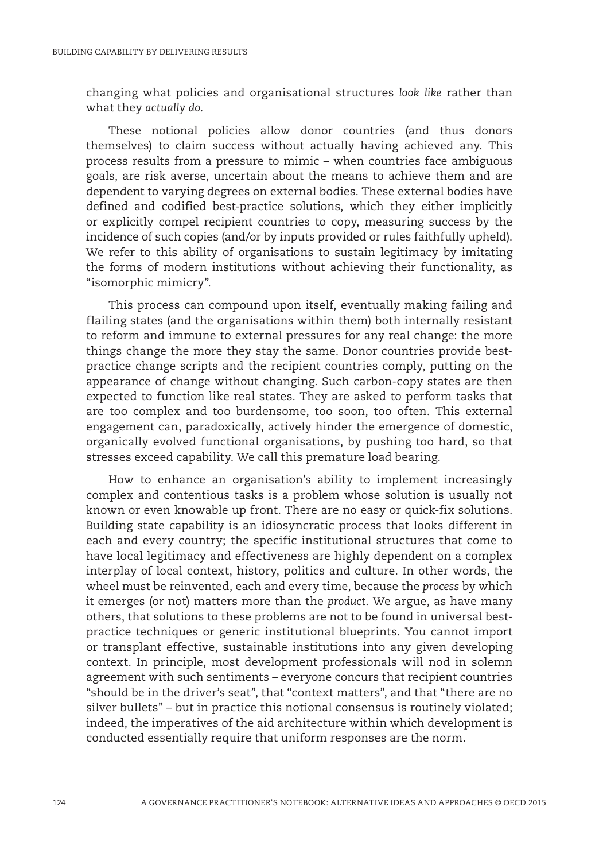changing what policies and organisational structures *look like* rather than what they *actually do*.

These notional policies allow donor countries (and thus donors themselves) to claim success without actually having achieved any. This process results from a pressure to mimic – when countries face ambiguous goals, are risk averse, uncertain about the means to achieve them and are dependent to varying degrees on external bodies. These external bodies have defined and codified best-practice solutions, which they either implicitly or explicitly compel recipient countries to copy, measuring success by the incidence of such copies (and/or by inputs provided or rules faithfully upheld). We refer to this ability of organisations to sustain legitimacy by imitating the forms of modern institutions without achieving their functionality, as "isomorphic mimicry"*.*

This process can compound upon itself, eventually making failing and flailing states (and the organisations within them) both internally resistant to reform and immune to external pressures for any real change: the more things change the more they stay the same. Donor countries provide bestpractice change scripts and the recipient countries comply, putting on the appearance of change without changing. Such carbon-copy states are then expected to function like real states. They are asked to perform tasks that are too complex and too burdensome, too soon, too often. This external engagement can, paradoxically, actively hinder the emergence of domestic, organically evolved functional organisations, by pushing too hard, so that stresses exceed capability. We call this premature load bearing.

How to enhance an organisation's ability to implement increasingly complex and contentious tasks is a problem whose solution is usually not known or even knowable up front. There are no easy or quick-fix solutions. Building state capability is an idiosyncratic process that looks different in each and every country; the specific institutional structures that come to have local legitimacy and effectiveness are highly dependent on a complex interplay of local context, history, politics and culture. In other words, the wheel must be reinvented, each and every time, because the *process* by which it emerges (or not) matters more than the *product*. We argue, as have many others, that solutions to these problems are not to be found in universal bestpractice techniques or generic institutional blueprints. You cannot import or transplant effective, sustainable institutions into any given developing context. In principle, most development professionals will nod in solemn agreement with such sentiments – everyone concurs that recipient countries "should be in the driver's seat", that "context matters", and that "there are no silver bullets" – but in practice this notional consensus is routinely violated; indeed, the imperatives of the aid architecture within which development is conducted essentially require that uniform responses are the norm.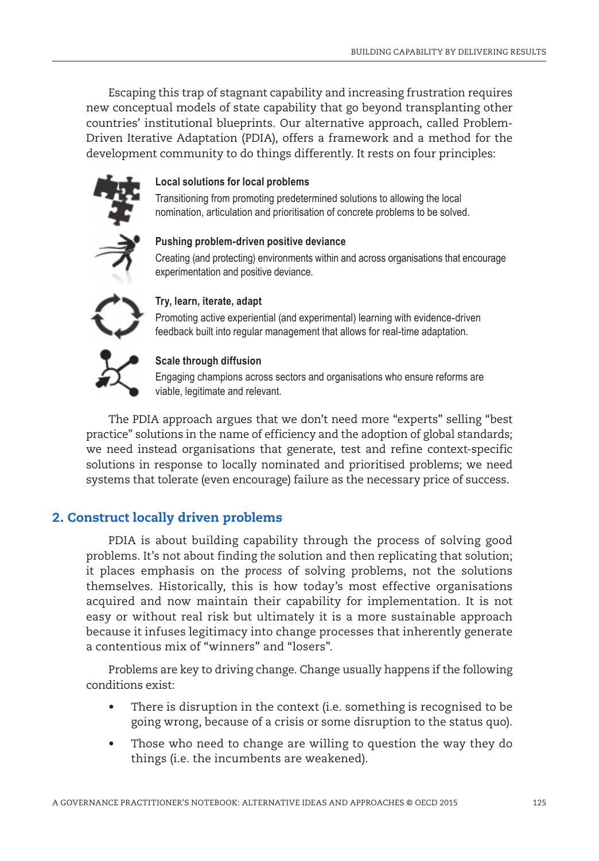Escaping this trap of stagnant capability and increasing frustration requires new conceptual models of state capability that go beyond transplanting other countries' institutional blueprints. Our alternative approach, called Problem-Driven Iterative Adaptation (PDIA), offers a framework and a method for the development community to do things differently. It rests on four principles:



### **Local solutions for local problems**

Transitioning from promoting predetermined solutions to allowing the local nomination, articulation and prioritisation of concrete problems to be solved.



### **Pushing problem-driven positive deviance**

Creating (and protecting) environments within and across organisations that encourage experimentation and positive deviance.



### **Try, learn, iterate, adapt**

Promoting active experiential (and experimental) learning with evidence-driven feedback built into regular management that allows for real-time adaptation.



Engaging champions across sectors and organisations who ensure reforms are viable, legitimate and relevant.

The PDIA approach argues that we don't need more "experts" selling "best practice" solutions in the name of efficiency and the adoption of global standards; we need instead organisations that generate, test and refine context-specific solutions in response to locally nominated and prioritised problems; we need systems that tolerate (even encourage) failure as the necessary price of success.

# 2. Construct locally driven problems

PDIA is about building capability through the process of solving good problems. It's not about finding *the* solution and then replicating that solution; it places emphasis on the *process* of solving problems, not the solutions themselves. Historically, this is how today's most effective organisations acquired and now maintain their capability for implementation. It is not easy or without real risk but ultimately it is a more sustainable approach because it infuses legitimacy into change processes that inherently generate a contentious mix of "winners" and "losers".

Problems are key to driving change. Change usually happens if the following conditions exist:

- There is disruption in the context (i.e. something is recognised to be going wrong, because of a crisis or some disruption to the status quo).
- Those who need to change are willing to question the way they do things (i.e. the incumbents are weakened).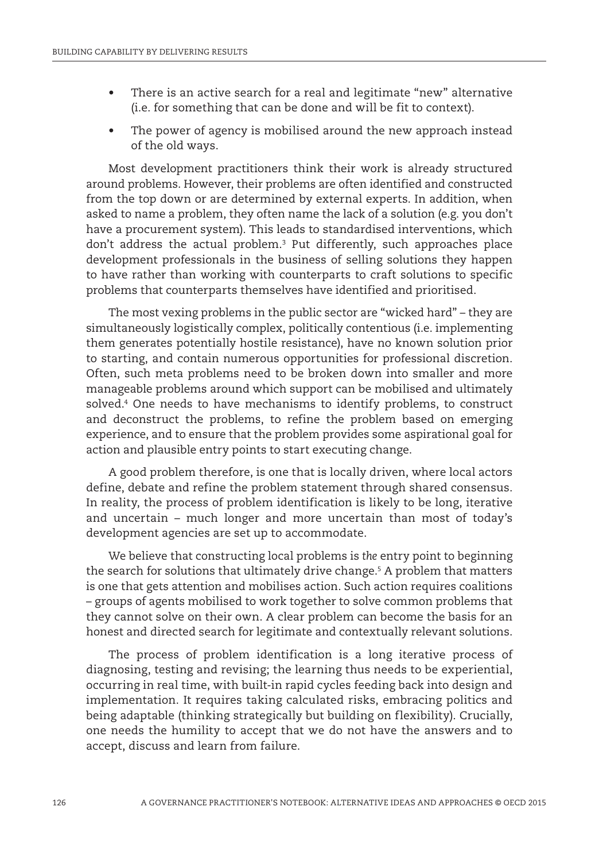- There is an active search for a real and legitimate "new" alternative (i.e. for something that can be done and will be fit to context).
- The power of agency is mobilised around the new approach instead of the old ways.

Most development practitioners think their work is already structured around problems. However, their problems are often identified and constructed from the top down or are determined by external experts. In addition, when asked to name a problem, they often name the lack of a solution (e.g. you don't have a procurement system). This leads to standardised interventions, which don't address the actual problem.3 Put differently, such approaches place development professionals in the business of selling solutions they happen to have rather than working with counterparts to craft solutions to specific problems that counterparts themselves have identified and prioritised.

The most vexing problems in the public sector are "wicked hard" – they are simultaneously logistically complex, politically contentious (i.e. implementing them generates potentially hostile resistance), have no known solution prior to starting, and contain numerous opportunities for professional discretion. Often, such meta problems need to be broken down into smaller and more manageable problems around which support can be mobilised and ultimately solved.4 One needs to have mechanisms to identify problems, to construct and deconstruct the problems, to refine the problem based on emerging experience, and to ensure that the problem provides some aspirational goal for action and plausible entry points to start executing change.

A good problem therefore, is one that is locally driven, where local actors define, debate and refine the problem statement through shared consensus. In reality, the process of problem identification is likely to be long, iterative and uncertain – much longer and more uncertain than most of today's development agencies are set up to accommodate.

We believe that constructing local problems is *the* entry point to beginning the search for solutions that ultimately drive change.5 A problem that matters is one that gets attention and mobilises action. Such action requires coalitions – groups of agents mobilised to work together to solve common problems that they cannot solve on their own. A clear problem can become the basis for an honest and directed search for legitimate and contextually relevant solutions.

The process of problem identification is a long iterative process of diagnosing, testing and revising; the learning thus needs to be experiential, occurring in real time, with built-in rapid cycles feeding back into design and implementation. It requires taking calculated risks, embracing politics and being adaptable (thinking strategically but building on flexibility). Crucially, one needs the humility to accept that we do not have the answers and to accept, discuss and learn from failure.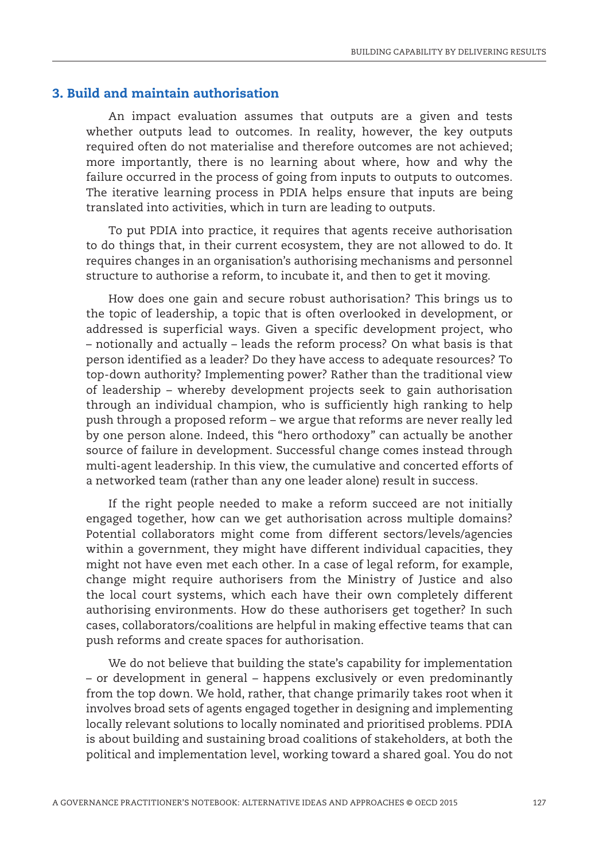# 3. Build and maintain authorisation

An impact evaluation assumes that outputs are a given and tests whether outputs lead to outcomes. In reality, however, the key outputs required often do not materialise and therefore outcomes are not achieved; more importantly, there is no learning about where, how and why the failure occurred in the process of going from inputs to outputs to outcomes. The iterative learning process in PDIA helps ensure that inputs are being translated into activities, which in turn are leading to outputs.

To put PDIA into practice, it requires that agents receive authorisation to do things that, in their current ecosystem, they are not allowed to do. It requires changes in an organisation's authorising mechanisms and personnel structure to authorise a reform, to incubate it, and then to get it moving.

How does one gain and secure robust authorisation? This brings us to the topic of leadership, a topic that is often overlooked in development, or addressed is superficial ways. Given a specific development project, who – notionally and actually – leads the reform process? On what basis is that person identified as a leader? Do they have access to adequate resources? To top-down authority? Implementing power? Rather than the traditional view of leadership – whereby development projects seek to gain authorisation through an individual champion, who is sufficiently high ranking to help push through a proposed reform – we argue that reforms are never really led by one person alone. Indeed, this "hero orthodoxy" can actually be another source of failure in development. Successful change comes instead through multi-agent leadership. In this view, the cumulative and concerted efforts of a networked team (rather than any one leader alone) result in success.

If the right people needed to make a reform succeed are not initially engaged together, how can we get authorisation across multiple domains? Potential collaborators might come from different sectors/levels/agencies within a government, they might have different individual capacities, they might not have even met each other. In a case of legal reform, for example, change might require authorisers from the Ministry of Justice and also the local court systems, which each have their own completely different authorising environments. How do these authorisers get together? In such cases, collaborators/coalitions are helpful in making effective teams that can push reforms and create spaces for authorisation.

We do not believe that building the state's capability for implementation – or development in general – happens exclusively or even predominantly from the top down. We hold, rather, that change primarily takes root when it involves broad sets of agents engaged together in designing and implementing locally relevant solutions to locally nominated and prioritised problems. PDIA is about building and sustaining broad coalitions of stakeholders, at both the political and implementation level, working toward a shared goal. You do not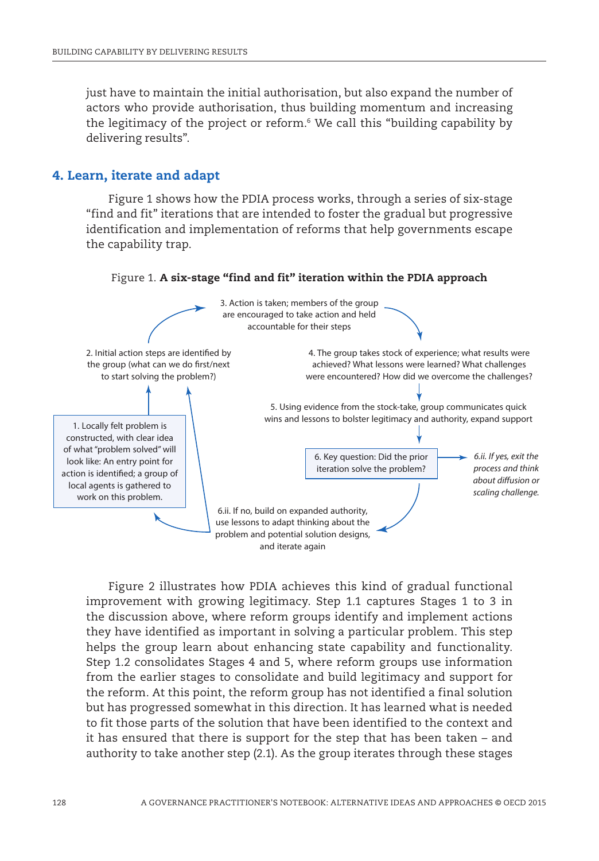just have to maintain the initial authorisation, but also expand the number of actors who provide authorisation, thus building momentum and increasing the legitimacy of the project or reform.6 We call this "building capability by delivering results".

## 4. Learn, iterate and adapt

Figure 1 shows how the PDIA process works, through a series of six-stage "find and fit" iterations that are intended to foster the gradual but progressive identification and implementation of reforms that help governments escape the capability trap.

Figure 1. A six-stage "find and fit" iteration within the PDIA approach



Figure 2 illustrates how PDIA achieves this kind of gradual functional improvement with growing legitimacy. Step 1.1 captures Stages 1 to 3 in the discussion above, where reform groups identify and implement actions they have identified as important in solving a particular problem. This step helps the group learn about enhancing state capability and functionality. Step 1.2 consolidates Stages 4 and 5, where reform groups use information from the earlier stages to consolidate and build legitimacy and support for the reform. At this point, the reform group has not identified a final solution but has progressed somewhat in this direction. It has learned what is needed to fit those parts of the solution that have been identified to the context and it has ensured that there is support for the step that has been taken – and authority to take another step (2.1). As the group iterates through these stages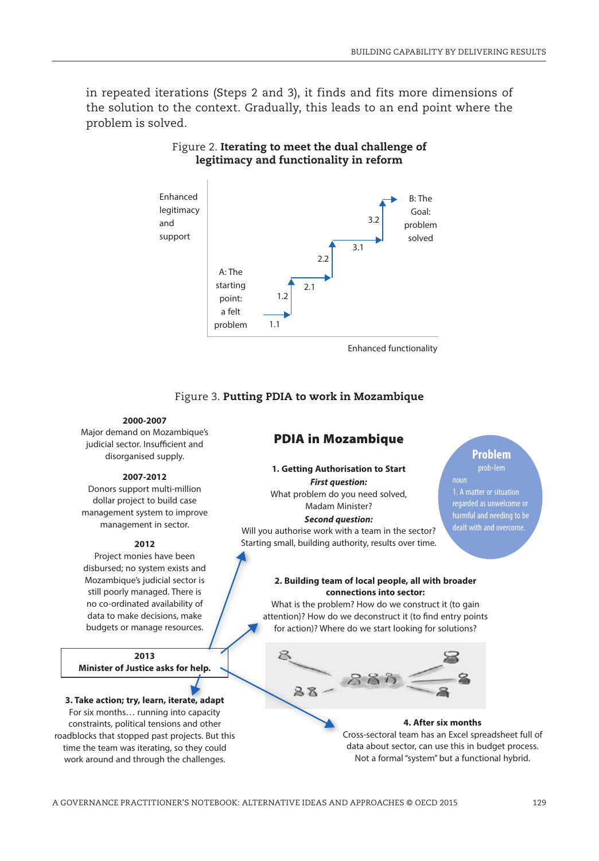in repeated iterations (Steps 2 and 3), it finds and fits more dimensions of the solution to the context. Gradually, this leads to an end point where the problem is solved.



## Figure 2. Iterating to meet the dual challenge of legitimacy and functionality in reform

Figure 3. Putting PDIA to work in Mozambique

#### **2000-2007**

Major demand on Mozambique's judicial sector. Insufficient and disorganised supply.

#### **2007-2012**

Donors support multi-million dollar project to build case management system to improve management in sector.

#### **2012**

Project monies have been disbursed; no system exists and Mozambique's judicial sector is still poorly managed. There is no co-ordinated availability of data to make decisions, make budgets or manage resources.

**2013 Minister of Justice asks for help.**

# **3. Take action; try, learn, iterate, adapt**

For six months… running into capacity constraints, political tensions and other roadblocks that stopped past projects. But this time the team was iterating, so they could work around and through the challenges.

### PDIA in Mozambique

#### **1. Getting Authorisation to Start** *First question:*

What problem do you need solved, Madam Minister?

*Second question:* Will you authorise work with a team in the sector?

Starting small, building authority, results over time.

### **Problem**

prob**·**lem 1. A matter or situation regarded as unwelcome or harmful and needing to be dealt with and overcome.

#### **2. Building team of local people, all with broader connections into sector:**

What is the problem? How do we construct it (to gain attention)? How do we deconstruct it (to find entry points for action)? Where do we start looking for solutions?



#### **4. After six months**

Cross-sectoral team has an Excel spreadsheet full of data about sector, can use this in budget process. Not a formal "system" but a functional hybrid.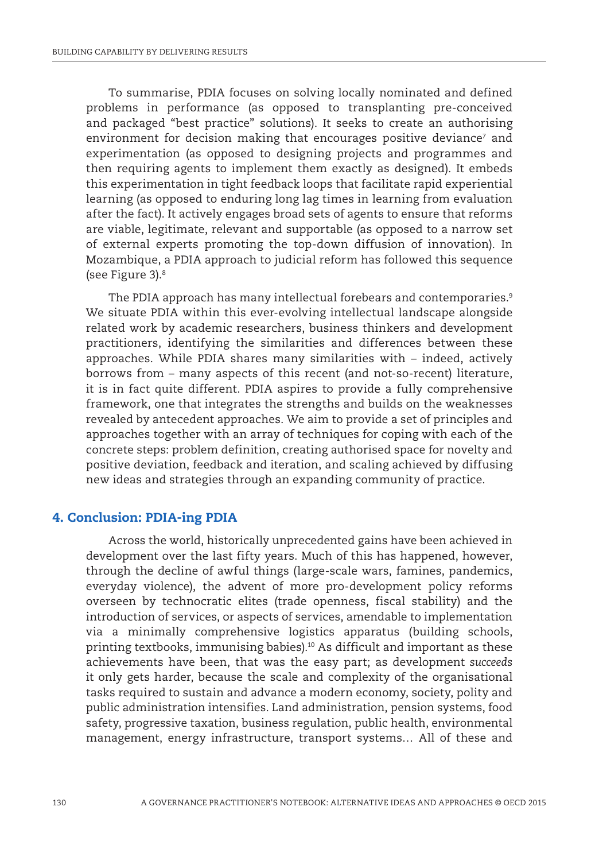To summarise, PDIA focuses on solving locally nominated and defined problems in performance (as opposed to transplanting pre-conceived and packaged "best practice" solutions). It seeks to create an authorising environment for decision making that encourages positive deviance<sup>7</sup> and experimentation (as opposed to designing projects and programmes and then requiring agents to implement them exactly as designed). It embeds this experimentation in tight feedback loops that facilitate rapid experiential learning (as opposed to enduring long lag times in learning from evaluation after the fact). It actively engages broad sets of agents to ensure that reforms are viable, legitimate, relevant and supportable (as opposed to a narrow set of external experts promoting the top-down diffusion of innovation). In Mozambique, a PDIA approach to judicial reform has followed this sequence (see Figure 3).8

The PDIA approach has many intellectual forebears and contemporaries.<sup>9</sup> We situate PDIA within this ever-evolving intellectual landscape alongside related work by academic researchers, business thinkers and development practitioners, identifying the similarities and differences between these approaches. While PDIA shares many similarities with – indeed, actively borrows from – many aspects of this recent (and not-so-recent) literature, it is in fact quite different. PDIA aspires to provide a fully comprehensive framework, one that integrates the strengths and builds on the weaknesses revealed by antecedent approaches. We aim to provide a set of principles and approaches together with an array of techniques for coping with each of the concrete steps: problem definition, creating authorised space for novelty and positive deviation, feedback and iteration, and scaling achieved by diffusing new ideas and strategies through an expanding community of practice.

## 4. Conclusion: PDIA-ing PDIA

Across the world, historically unprecedented gains have been achieved in development over the last fifty years. Much of this has happened, however, through the decline of awful things (large-scale wars, famines, pandemics, everyday violence), the advent of more pro-development policy reforms overseen by technocratic elites (trade openness, fiscal stability) and the introduction of services, or aspects of services, amendable to implementation via a minimally comprehensive logistics apparatus (building schools, printing textbooks, immunising babies).10 As difficult and important as these achievements have been, that was the easy part; as development *succeeds* it only gets harder, because the scale and complexity of the organisational tasks required to sustain and advance a modern economy, society, polity and public administration intensifies. Land administration, pension systems, food safety, progressive taxation, business regulation, public health, environmental management, energy infrastructure, transport systems… All of these and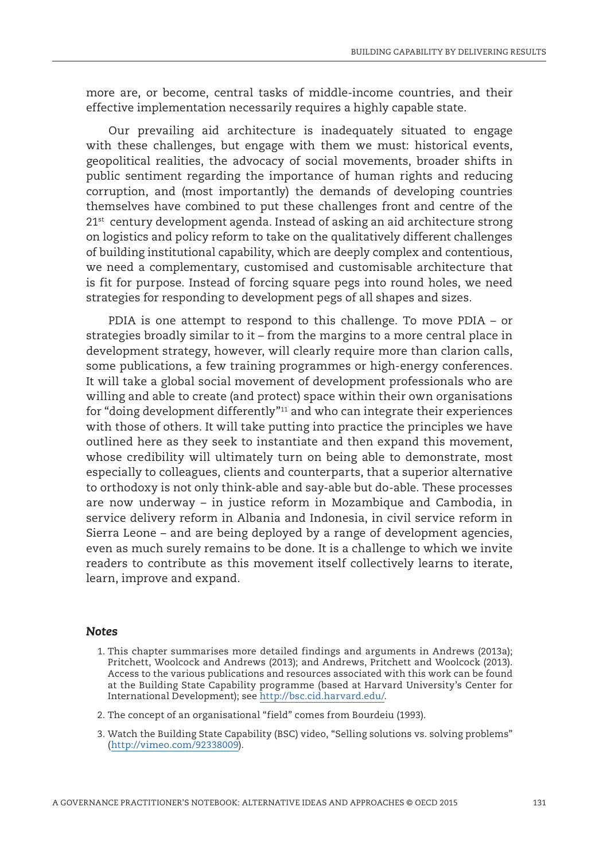more are, or become, central tasks of middle-income countries, and their effective implementation necessarily requires a highly capable state.

Our prevailing aid architecture is inadequately situated to engage with these challenges, but engage with them we must: historical events, geopolitical realities, the advocacy of social movements, broader shifts in public sentiment regarding the importance of human rights and reducing corruption, and (most importantly) the demands of developing countries themselves have combined to put these challenges front and centre of the  $21<sup>st</sup>$  century development agenda. Instead of asking an aid architecture strong on logistics and policy reform to take on the qualitatively different challenges of building institutional capability, which are deeply complex and contentious, we need a complementary, customised and customisable architecture that is fit for purpose. Instead of forcing square pegs into round holes, we need strategies for responding to development pegs of all shapes and sizes.

PDIA is one attempt to respond to this challenge. To move PDIA – or strategies broadly similar to it – from the margins to a more central place in development strategy, however, will clearly require more than clarion calls, some publications, a few training programmes or high-energy conferences. It will take a global social movement of development professionals who are willing and able to create (and protect) space within their own organisations for "doing development differently"<sup>11</sup> and who can integrate their experiences with those of others. It will take putting into practice the principles we have outlined here as they seek to instantiate and then expand this movement, whose credibility will ultimately turn on being able to demonstrate, most especially to colleagues, clients and counterparts, that a superior alternative to orthodoxy is not only think-able and say-able but do-able. These processes are now underway – in justice reform in Mozambique and Cambodia, in service delivery reform in Albania and Indonesia, in civil service reform in Sierra Leone – and are being deployed by a range of development agencies, even as much surely remains to be done. It is a challenge to which we invite readers to contribute as this movement itself collectively learns to iterate, learn, improve and expand.

#### *Notes*

- 1. This chapter summarises more detailed findings and arguments in Andrews (2013a); Pritchett, Woolcock and Andrews (2013); and Andrews, Pritchett and Woolcock (2013). Access to the various publications and resources associated with this work can be found at the Building State Capability programme (based at Harvard University's Center for International Development); see <http://bsc.cid.harvard.edu/>.
- 2. The concept of an organisational "field" comes from Bourdeiu (1993).
- 3. Watch the Building State Capability (BSC) video, "Selling solutions vs. solving problems" ([http://vimeo.com/92338009\)](http://vimeo.com/92338009).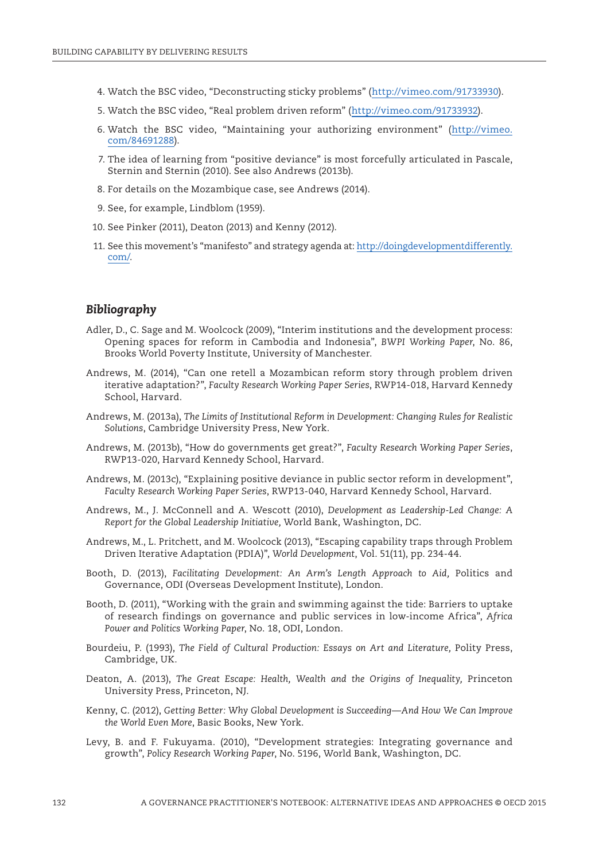- 4. Watch the BSC video, "Deconstructing sticky problems" ([http://vimeo.com/91733930\)](http://vimeo.com/91733930).
- 5. Watch the BSC video, "Real problem driven reform" [\(http://vimeo.com/91733932\)](http://vimeo.com/91733932).
- 6. Watch the BSC video, "Maintaining your authorizing environment" ([http://vimeo.](http://vimeo.com/84691288) [com/84691288\)](http://vimeo.com/84691288).
- 7. The idea of learning from "positive deviance" is most forcefully articulated in Pascale, Sternin and Sternin (2010). See also Andrews (2013b).
- 8. For details on the Mozambique case, see Andrews (2014).
- 9. See, for example, Lindblom (1959).
- 10. See Pinker (2011), Deaton (2013) and Kenny (2012).
- 11. See this movement's "manifesto" and strategy agenda at: [http://doingdevelopmentdifferently.](http://doingdevelopmentdifferently.com/) [com/](http://doingdevelopmentdifferently.com/).

### *Bibliography*

- Adler, D., C. Sage and M. Woolcock (2009), "Interim institutions and the development process: Opening spaces for reform in Cambodia and Indonesia", *BWPI Working Paper*, No. 86, Brooks World Poverty Institute, University of Manchester.
- Andrews, M. (2014), "Can one retell a Mozambican reform story through problem driven iterative adaptation?", *Faculty Research Working Paper Series*, RWP14-018, Harvard Kennedy School, Harvard.
- Andrews, M. (2013a), *The Limits of Institutional Reform in Development: Changing Rules for Realistic Solutions*, Cambridge University Press, New York.
- Andrews, M. (2013b), "How do governments get great?", *Faculty Research Working Paper Series*, RWP13-020, Harvard Kennedy School, Harvard.
- Andrews, M. (2013c), "Explaining positive deviance in public sector reform in development", *Faculty Research Working Paper Series*, RWP13-040, Harvard Kennedy School, Harvard.
- Andrews, M., J. McConnell and A. Wescott (2010), *Development as Leadership-Led Change: A Report for the Global Leadership Initiative,* World Bank, Washington, DC.
- Andrews, M., L. Pritchett, and M. Woolcock (2013), "Escaping capability traps through Problem Driven Iterative Adaptation (PDIA)", *World Development*, Vol. 51(11), pp. 234-44.
- Booth, D. (2013), *Facilitating Development: An Arm's Length Approach to Aid,* Politics and Governance, ODI (Overseas Development Institute), London.
- Booth, D. (2011), "Working with the grain and swimming against the tide: Barriers to uptake of research findings on governance and public services in low-income Africa", *Africa Power and Politics Working Paper*, No. 18, ODI, London.
- Bourdeiu, P. (1993), *The Field of Cultural Production: Essays on Art and Literature,* Polity Press, Cambridge, UK.
- Deaton, A. (2013), *The Great Escape: Health, Wealth and the Origins of Inequality,* Princeton University Press, Princeton, NJ.
- Kenny, C. (2012), *Getting Better: Why Global Development is Succeeding—And How We Can Improve the World Even More*, Basic Books, New York.
- Levy, B. and F. Fukuyama. (2010), "Development strategies: Integrating governance and growth", *Policy Research Working Paper*, No. 5196, World Bank, Washington, DC.